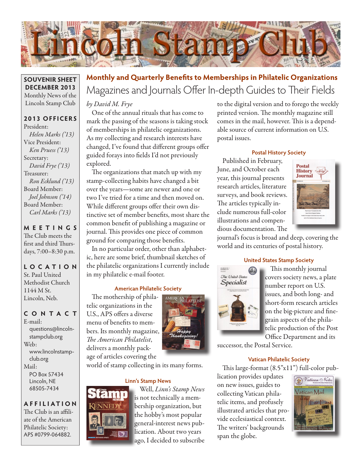

### **SOUVENIR SHEET DECEMBER 2013** Monthly News of the Lincoln Stamp Club

## **2013 OFFICERS**

President: Helen Marks ('13) Vice President: Ken Pruess ('13) Secretary: David Frye ('13) Treasurer: Ron Ecklund ('13) Board Member: Joel Johnson ('14) Board Member: Carl Marks ('13)

# **MEETINGS** The Club meets the

first and third Thursdays, 7:00–8:30 p.m.

### **LO C ATI O N** St. Paul United Methodist Church 1144 M St. Lincoln, Neb.

# **CONTACT**

E-mail: questions@lincolnstampclub.org Web: www.lincolnstampclub.org Mail: PO Box 57434 Lincoln, NE 68505-7434

**AFFI LIATI O N** The Club is an affiliate of the American Philatelic Society: APS #0799-064882.

# Magazines and Journals Offer In-depth Guides to Their Fields **Monthly and Quarterly Bene!ts to Memberships in Philatelic Organizations**

by David M. Frye

One of the annual rituals that has come to mark the passing of the seasons is taking stock of memberships in philatelic organizations. As my collecting and research interests have changed, I've found that different groups offer guided forays into fields I'd not previously explored.

The organizations that match up with my stamp-collecting habits have changed a bit over the years—some are newer and one or two I've tried for a time and then moved on. While different groups offer their own distinctive set of member benefits, most share the common benefit of publishing a magazine or journal. This provides one piece of common ground for comparing those benefits.

In no particular order, other than alphabetic, here are some brief, thumbnail sketches of the philatelic organizations I currently include in my philatelic e-mail footer.

### **American Philatelic Society**

The mothership of philatelic organizations in the U.S., APS offers a diverse menu of benefits to members. Its monthly magazine, The American Philatelist, delivers a monthly package of articles covering the



world of stamp collecting in its many forms.

### **Linn's Stamp News**



Well, Linn's Stamp News is not technically a membership organization, but the hobby's most popular general-interest news publication. About two years ago, I decided to subscribe to the digital version and to forego the weekly printed version. The monthly magazine still comes in the mail, however. This is a dependable source of current information on U.S. postal issues.

## **Postal History Society**

Published in February, June, and October each year, this journal presents research articles, literature surveys, and book reviews. The articles typically include numerous full-color illustrations and compendious documentation. The



journal's focus is broad and deep, covering the world and its centuries of postal history.

## **United States Stamp Society**



This monthly journal covers society news, a plate number report on U.S. issues, and both long- and short-form research articles on the big-picture and finegrain aspects of the philatelic production of the Post Office Department and its

successor, the Postal Service.

# **Vatican Philatelic Society**

This large-format  $(8.5"x11")$  full-color pub-

lication provides updates on new issues, guides to collecting Vatican philatelic items, and profusely illustrated articles that provide ecclesiastical context. The writers' backgrounds span the globe.

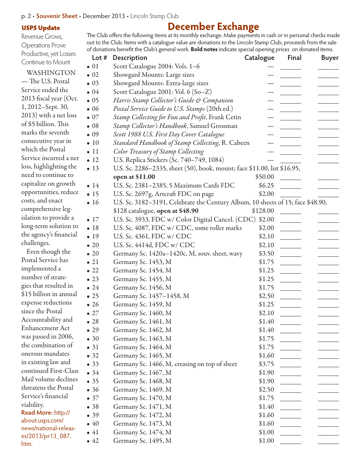### p. 2 • **Souvenir Sheet** • December 2013 • Lincoln Stamp Club

#### USPS Update

Revenue Grows, Operations Prove Productive, yet Losses Continue to Mount

### WASHINGTON

— The U.S. Postal Service ended the 2013 fiscal year (Oct. 1, 2012–Sept. 30, 2013) with a net loss of \$5 billion. This marks the seventh consecutive year in which the Postal Service incurred a net loss, highlighting the need to continue to capitalize on growth opportunities, reduce costs, and enact comprehensive legislation to provide a long-term solution to the agency's financial challenges.

Even though the Postal Service has implemented a number of strategies that resulted in \$15 billion in annual expense reductions since the Postal Accountability and Enhancement Act was passed in 2006, the combination of onerous mandates in existing law and continued First-Class Mail volume declines threatens the Postal Service's financial viability. **Read More: http://** about.usps.com/ news/national-releases/2013/pr13\_087.

htm.

# **December Exchange**

The Club offers the following items at its monthly exchange. Make payments in cash or in personal checks made out to the Club. Items with a catalogue value are donations to the Lincoln Stamp Club; proceeds from the sale of donations benefit the Club's general work. **Bold notes** indicate special opening prices on donated items.

| Lot $#$      | Description                                                                     | Catalogue | Final          | <b>Buyer</b> |
|--------------|---------------------------------------------------------------------------------|-----------|----------------|--------------|
| $\bullet$ 01 | Scott Catalogue 2004: Vols. 1-6                                                 |           |                |              |
| $\bullet$ 02 | Showgard Mounts: Large sizes                                                    |           |                |              |
| $\bullet$ 03 | Showgard Mounts: Extra-large sizes                                              |           |                |              |
| $\bullet$ 04 | Scott Catalogue 2001: Vol. 6 (So-Z)                                             |           |                |              |
| $\bullet$ 05 | Harris Stamp Collector's Guide & Companion                                      |           |                |              |
| $\bullet$ 06 | Postal Service Guide to U.S. Stamps (20th ed.)                                  |           |                |              |
| $\bullet$ 07 | Stamp Collecting for Fun and Profit, Frank Cetin                                |           |                |              |
| $\bullet$ 08 | Stamp Collector's Handbook, Samuel Grossman                                     |           |                |              |
| $\bullet$ 09 | Scott 1988 U.S. First Day Cover Catalogue                                       |           |                |              |
| $\bullet$ 10 | Standard Handbook of Stamp Collecting, R. Cabeen                                |           |                |              |
| $\bullet$ 11 | Color Treasury of Stamp Collecting                                              |           |                |              |
| $\bullet$ 12 | U.S. Replica Stickers (Sc. 740-749, 1084)                                       |           |                |              |
| $\bullet$ 13 | U.S. Sc. 2286-2335, sheet (50), book, mount; face \$11.00, list \$16.95,        |           |                |              |
|              | open at \$11.00                                                                 | \$50.00   |                |              |
| $\bullet$ 14 | U.S. Sc. 2381-2385, 5 Maximum Cards FDC                                         | \$6.25    |                |              |
| $\bullet$ 15 | U.S. Sc. 2697g, Artcraft FDC on page                                            | \$2.00    |                |              |
| $\bullet$ 16 | U.S. Sc. 3182-3191, Celebrate the Century Album, 10 sheets of 15; face \$48.90, |           |                |              |
|              | \$128 catalogue, open at \$48.90                                                | \$128.00  |                |              |
| $\bullet$ 17 | U.S. Sc. 3933, FDC w/ Color Digital Cancel. (CDC) \$2.00                        |           |                |              |
| •18          | U.S. Sc. 4087, FDC w/ CDC, some roller marks                                    | \$2.00    |                |              |
| $\bullet$ 19 | U.S. Sc. 4361, FDC w/ CDC                                                       | \$2.10    |                |              |
| $\bullet$ 20 | U.S. Sc. 4414d, FDC w/ CDC                                                      | \$2.10    |                |              |
| $\bullet$ 20 | Germany Sc. 1420a–1420c, M, souv. sheet, wavy                                   | \$3.50    |                |              |
| $\bullet$ 21 | Germany Sc. 1453, M                                                             | \$1.75    |                |              |
| $\bullet$ 22 | Germany Sc. 1454, M                                                             | \$1.25    |                |              |
| $\bullet$ 23 | Germany Sc. 1455, M                                                             | \$1.25    |                |              |
| $\bullet$ 24 | Germany Sc. 1456, M                                                             | \$1.75    |                |              |
| $\bullet$ 25 | Germany Sc. 1457-1458, M                                                        | \$2.50    |                |              |
| $\bullet$ 26 | Germany Sc. 1459, M                                                             | \$1.25    |                |              |
| $\bullet$ 27 | Germany Sc. 1460, M                                                             | \$2.10    |                |              |
| $\bullet$ 28 | Germany Sc. 1461, M                                                             | \$1.40    |                |              |
| $\bullet$ 29 | Germany Sc. 1462, M                                                             | \$1.40    |                |              |
| $\bullet$ 30 | Germany Sc. 1463, M                                                             | \$1.75    |                |              |
| • 31         | Germany Sc. 1464, M                                                             | \$1.75    | $\sim 10^{11}$ |              |
| • 32         | Germany Sc. 1465, M                                                             | \$1.60    |                |              |
| • 33         | Germany Sc. 1466, M, creasing on top of sheet                                   | \$3.75    |                |              |
| $\bullet$ 34 | Germany Sc. 1467, M                                                             | \$1.90    |                |              |
| •35          | Germany Sc. 1468, M                                                             | \$1.90    |                |              |
| •36          | Germany Sc. 1469, M                                                             | \$2.50    | $\frac{1}{2}$  |              |
| $\bullet$ 37 | Germany Sc. 1470, M                                                             | \$1.75    |                |              |
| •38          | Germany Sc. 1471, M                                                             | \$1.40    |                |              |
| • 39         | Germany Sc. 1472, M                                                             | \$1.60    | $\overline{a}$ |              |
| $\bullet$ 40 | Germany Sc. 1473, M                                                             | \$1.60    | $\frac{1}{2}$  |              |
| $\bullet$ 41 | Germany Sc. 1474, M                                                             | \$1.00    |                |              |
| $\bullet$ 42 | Germany Sc. 1495, M                                                             | \$1.00    |                |              |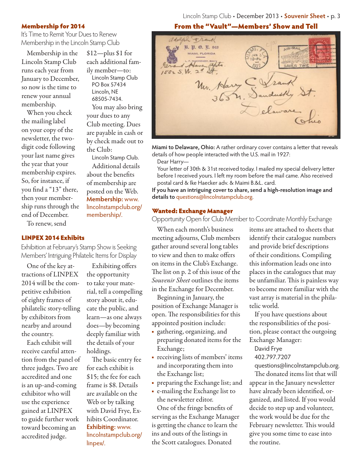### Lincoln Stamp Club • December 2013 • **Souvenir Sheet** • p. 3

### Membership for 2014

It's Time to Remit Your Dues to Renew Membership in the Lincoln Stamp Club

> \$12—plus \$1 for each additional family member—to: Lincoln Stamp Club PO Box 57434 Lincoln, NE 68505-7434.

You may also bring

Lincoln Stamp Club. Additional details about the benefits of membership are posted on the Web. **Membership:** www. lincolnstampclub.org/

your dues to any Club meeting. Dues are payable in cash or by check made out to

the Club:

membership/.

Membership in the Lincoln Stamp Club runs each year from January to December, so now is the time to renew your annual membership.

When you check the mailing label on your copy of the newsletter, the twodigit code following your last name gives the year that your membership expires. So, for instance, if you find a "13" there, then your membership runs through the end of December.

To renew, send

### LINPEX 2014 Exhibits

Exhibition at February's Stamp Show is Seeking Members' Intriguing Philatelic Items for Display

One of the key attractions of LINPEX 2014 will be the competitive exhibition of eighty frames of philatelic story-telling by exhibitors from nearby and around the country.

Each exhibit will receive careful attention from the panel of three judges. Two are accredited and one is an up-and-coming exhibitor who will use the experience gained at LINPEX to guide further work toward becoming an accredited judge.

Exhibiting offers the opportunity to take your material, tell a compelling story about it, educate the public, and learn—as one always does—by becoming deeply familiar with the details of your holdings.

The basic entry fee for each exhibit is \$15; the fee for each frame is \$8. Details are available on the Web or by talking with David Frye, Exhibits Coordinator. **Exhibiting:** www. lincolnstampclub.org/ linpex/.

From the "Vault"—Members' Show and Tell

adolph + rank 28. 犯. 0. E. 948 AIR-MA MIAMI, PLORIDA Grand Haven apts  $15525. W. 24$  $\Delta\theta$ Un. Harry Dandusky elaware

Miami to Delaware, Ohio: A rather ordinary cover contains a letter that reveals details of how people interacted with the U.S. mail in 1927:

Dear Harry—

Your letter of 30th & 31st received today. I mailed my special delivery letter before I received yours. I left my room before the mail came. Also received postal card & Ike Haecker adv. & Maimi B.&L. card.

**If you have an intriguing cover to share, send a high-resolution image and details to** questions@lincolnstampclub.org.

### Wanted: Exchange Manager

Opportunity Open for Club Member to Coordinate Monthly Exchange

When each month's business meeting adjourns, Club members gather around several long tables to view and then to make offers on items in the Club's Exchange. The list on p. 2 of this issue of the Souvenir Sheet outlines the items in the Exchange for December.

Beginning in January, the position of Exchange Manager is open. The responsibilities for this appointed position include:

- gathering, organizing, and preparing donated items for the Exchange;
- receiving lists of members' items and incorporating them into the Exchange list;
- preparing the Exchange list; and
- e-mailing the Exchange list to the newsletter editor.

One of the fringe benefits of serving as the Exchange Manager is getting the chance to learn the ins and outs of the listings in the Scott catalogues. Donated

items are attached to sheets that identify their catalogue numbers and provide brief descriptions of their conditions. Compiling this information leads one into places in the catalogues that may be unfamiliar. This is painless way to become more familiar with the vast array is material in the philatelic world.

If you have questions about the responsibilities of the position, please contact the outgoing Exchange Manager:

David Frye

402.797.7207

questions@lincolnstampclub.org.

The donated items list that will appear in the January newsletter have already been identified, organized, and listed. If you would decide to step up and volunteer, the work would be due for the February newsletter. This would give you some time to ease into the routine.